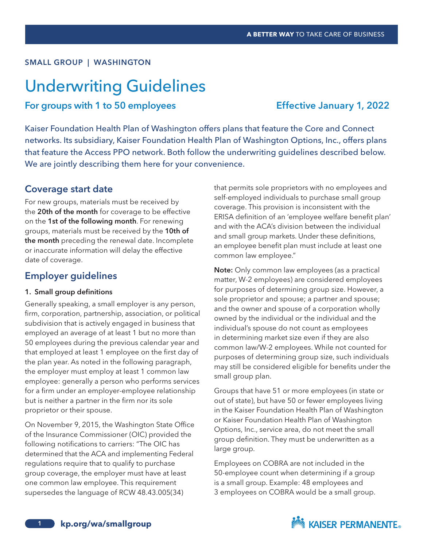#### SMALL GROUP | WASHINGTON

# Underwriting Guidelines

# For groups with 1 to 50 employees Effective January 1, 2022

Kaiser Foundation Health Plan of Washington offers plans that feature the Core and Connect networks. Its subsidiary, Kaiser Foundation Health Plan of Washington Options, Inc., offers plans that feature the Access PPO network. Both follow the underwriting guidelines described below. We are jointly describing them here for your convenience.

### Coverage start date

For new groups, materials must be received by the 20th of the month for coverage to be effective on the 1st of the following month. For renewing groups, materials must be received by the 10th of the month preceding the renewal date. Incomplete or inaccurate information will delay the effective date of coverage.

## Employer guidelines

#### 1. Small group definitions

Generally speaking, a small employer is any person, firm, corporation, partnership, association, or political subdivision that is actively engaged in business that employed an average of at least 1 but no more than 50 employees during the previous calendar year and that employed at least 1 employee on the first day of the plan year. As noted in the following paragraph, the employer must employ at least 1 common law employee: generally a person who performs services for a firm under an employer-employee relationship but is neither a partner in the firm nor its sole proprietor or their spouse.

On November 9, 2015, the Washington State Office of the Insurance Commissioner (OIC) provided the following notifications to carriers: "The OIC has determined that the ACA and implementing Federal regulations require that to qualify to purchase group coverage, the employer must have at least one common law employee. This requirement supersedes the language of RCW 48.43.005(34)

that permits sole proprietors with no employees and self-employed individuals to purchase small group coverage. This provision is inconsistent with the ERISA definition of an 'employee welfare benefit plan' and with the ACA's division between the individual and small group markets. Under these definitions, an employee benefit plan must include at least one common law employee."

Note: Only common law employees (as a practical matter, W-2 employees) are considered employees for purposes of determining group size. However, a sole proprietor and spouse; a partner and spouse; and the owner and spouse of a corporation wholly owned by the individual or the individual and the individual's spouse do not count as employees in determining market size even if they are also common law/W-2 employees. While not counted for purposes of determining group size, such individuals may still be considered eligible for benefits under the small group plan.

Groups that have 51 or more employees (in state or out of state), but have 50 or fewer employees living in the Kaiser Foundation Health Plan of Washington or Kaiser Foundation Health Plan of Washington Options, Inc., service area, do not meet the small group definition. They must be underwritten as a large group.

Employees on COBRA are not included in the 50-employee count when determining if a group is a small group. Example: 48 employees and 3 employees on COBRA would be a small group.

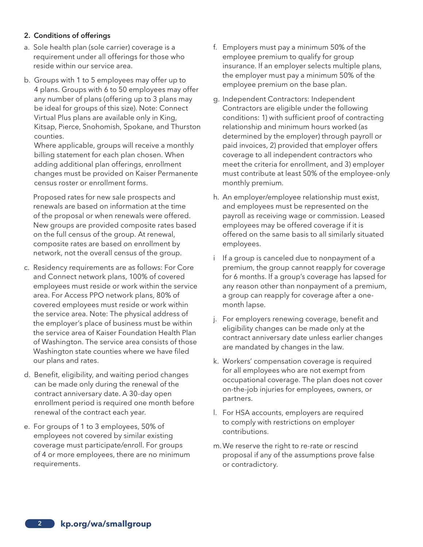#### 2. Conditions of offerings

- a. Sole health plan (sole carrier) coverage is a requirement under all offerings for those who reside within our service area.
- b. Groups with 1 to 5 employees may offer up to 4 plans. Groups with 6 to 50 employees may offer any number of plans (offering up to 3 plans may be ideal for groups of this size). Note: Connect Virtual Plus plans are available only in King, Kitsap, Pierce, Snohomish, Spokane, and Thurston counties.

Where applicable, groups will receive a monthly billing statement for each plan chosen. When adding additional plan offerings, enrollment changes must be provided on Kaiser Permanente census roster or enrollment forms.

Proposed rates for new sale prospects and renewals are based on information at the time of the proposal or when renewals were offered. New groups are provided composite rates based on the full census of the group. At renewal, composite rates are based on enrollment by network, not the overall census of the group.

- c. Residency requirements are as follows: For Core and Connect network plans, 100% of covered employees must reside or work within the service area. For Access PPO network plans, 80% of covered employees must reside or work within the service area. Note: The physical address of the employer's place of business must be within the service area of Kaiser Foundation Health Plan of Washington. The service area consists of those Washington state counties where we have filed our plans and rates.
- d. Benefit, eligibility, and waiting period changes can be made only during the renewal of the contract anniversary date. A 30-day open enrollment period is required one month before renewal of the contract each year.
- e. For groups of 1 to 3 employees, 50% of employees not covered by similar existing coverage must participate/enroll. For groups of 4 or more employees, there are no minimum requirements.
- f. Employers must pay a minimum 50% of the employee premium to qualify for group insurance. If an employer selects multiple plans, the employer must pay a minimum 50% of the employee premium on the base plan.
- g. Independent Contractors: Independent Contractors are eligible under the following conditions: 1) with sufficient proof of contracting relationship and minimum hours worked (as determined by the employer) through payroll or paid invoices, 2) provided that employer offers coverage to all independent contractors who meet the criteria for enrollment, and 3) employer must contribute at least 50% of the employee-only monthly premium.
- h. An employer/employee relationship must exist, and employees must be represented on the payroll as receiving wage or commission. Leased employees may be offered coverage if it is offered on the same basis to all similarly situated employees.
- i If a group is canceled due to nonpayment of a premium, the group cannot reapply for coverage for 6 months. If a group's coverage has lapsed for any reason other than nonpayment of a premium, a group can reapply for coverage after a onemonth lapse.
- j. For employers renewing coverage, benefit and eligibility changes can be made only at the contract anniversary date unless earlier changes are mandated by changes in the law.
- k. Workers' compensation coverage is required for all employees who are not exempt from occupational coverage. The plan does not cover on-the-job injuries for employees, owners, or partners.
- l. For HSA accounts, employers are required to comply with restrictions on employer contributions.
- m.We reserve the right to re-rate or rescind proposal if any of the assumptions prove false or contradictory.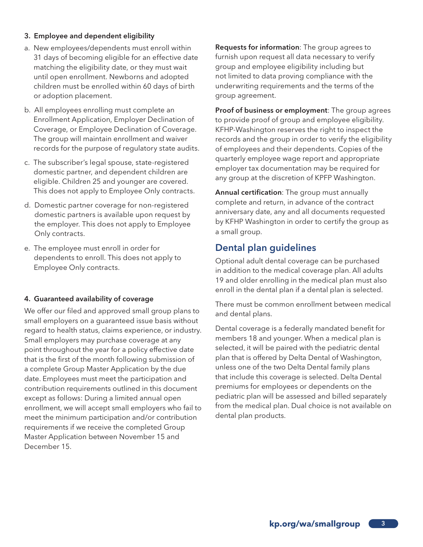#### 3. Employee and dependent eligibility

- a. New employees/dependents must enroll within 31 days of becoming eligible for an effective date matching the eligibility date, or they must wait until open enrollment. Newborns and adopted children must be enrolled within 60 days of birth or adoption placement.
- b. All employees enrolling must complete an Enrollment Application, Employer Declination of Coverage, or Employee Declination of Coverage. The group will maintain enrollment and waiver records for the purpose of regulatory state audits.
- c. The subscriber's legal spouse, state-registered domestic partner, and dependent children are eligible. Children 25 and younger are covered. This does not apply to Employee Only contracts.
- d. Domestic partner coverage for non-registered domestic partners is available upon request by the employer. This does not apply to Employee Only contracts.
- e. The employee must enroll in order for dependents to enroll. This does not apply to Employee Only contracts.

#### 4. Guaranteed availability of coverage

We offer our filed and approved small group plans to small employers on a guaranteed issue basis without regard to health status, claims experience, or industry. Small employers may purchase coverage at any point throughout the year for a policy effective date that is the first of the month following submission of a complete Group Master Application by the due date. Employees must meet the participation and contribution requirements outlined in this document except as follows: During a limited annual open enrollment, we will accept small employers who fail to meet the minimum participation and/or contribution requirements if we receive the completed Group Master Application between November 15 and December 15.

Requests for information: The group agrees to furnish upon request all data necessary to verify group and employee eligibility including but not limited to data proving compliance with the underwriting requirements and the terms of the group agreement.

Proof of business or employment: The group agrees to provide proof of group and employee eligibility. KFHP-Washington reserves the right to inspect the records and the group in order to verify the eligibility of employees and their dependents. Copies of the quarterly employee wage report and appropriate employer tax documentation may be required for any group at the discretion of KPFP Washington.

Annual certification: The group must annually complete and return, in advance of the contract anniversary date, any and all documents requested by KFHP Washington in order to certify the group as a small group.

# Dental plan guidelines

Optional adult dental coverage can be purchased in addition to the medical coverage plan. All adults 19 and older enrolling in the medical plan must also enroll in the dental plan if a dental plan is selected.

There must be common enrollment between medical and dental plans.

Dental coverage is a federally mandated benefit for members 18 and younger. When a medical plan is selected, it will be paired with the pediatric dental plan that is offered by Delta Dental of Washington, unless one of the two Delta Dental family plans that include this coverage is selected. Delta Dental premiums for employees or dependents on the pediatric plan will be assessed and billed separately from the medical plan. Dual choice is not available on dental plan products.